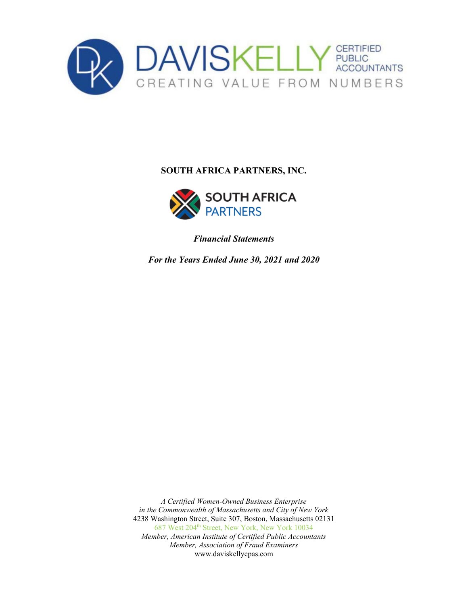



*Financial Statements*

*For the Years Ended June 30, 2021 and 2020*

*A Certified Women-Owned Business Enterprise in the Commonwealth of Massachusetts and City of New York* 4238 Washington Street, Suite 307, Boston, Massachusetts 02131 687 West 204<sup>th</sup> Street, New York, New York 10034 *Member, American Institute of Certified Public Accountants Member, Association of Fraud Examiners*  www.daviskellycpas.com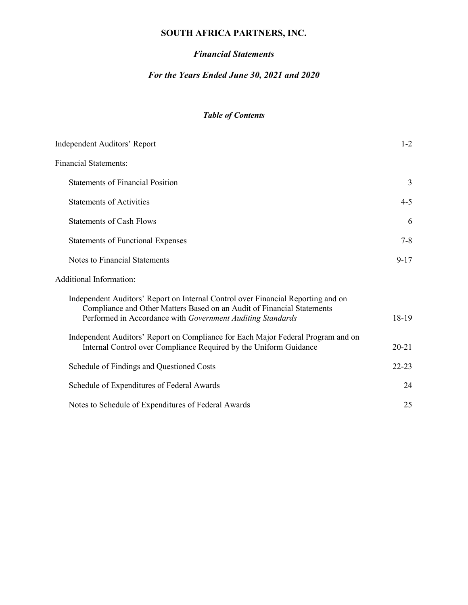## *Financial Statements*

## *For the Years Ended June 30, 2021 and 2020*

## *Table of Contents*

| <b>Independent Auditors' Report</b>                                                                                                                                                                                      | $1 - 2$   |
|--------------------------------------------------------------------------------------------------------------------------------------------------------------------------------------------------------------------------|-----------|
| <b>Financial Statements:</b>                                                                                                                                                                                             |           |
| <b>Statements of Financial Position</b>                                                                                                                                                                                  | 3         |
| <b>Statements of Activities</b>                                                                                                                                                                                          | $4 - 5$   |
| <b>Statements of Cash Flows</b>                                                                                                                                                                                          | 6         |
| <b>Statements of Functional Expenses</b>                                                                                                                                                                                 | $7 - 8$   |
| Notes to Financial Statements                                                                                                                                                                                            | $9 - 17$  |
| Additional Information:                                                                                                                                                                                                  |           |
| Independent Auditors' Report on Internal Control over Financial Reporting and on<br>Compliance and Other Matters Based on an Audit of Financial Statements<br>Performed in Accordance with Government Auditing Standards | 18-19     |
| Independent Auditors' Report on Compliance for Each Major Federal Program and on<br>Internal Control over Compliance Required by the Uniform Guidance                                                                    | $20 - 21$ |
| Schedule of Findings and Questioned Costs                                                                                                                                                                                | $22 - 23$ |
| Schedule of Expenditures of Federal Awards                                                                                                                                                                               | 24        |
| Notes to Schedule of Expenditures of Federal Awards                                                                                                                                                                      | 25        |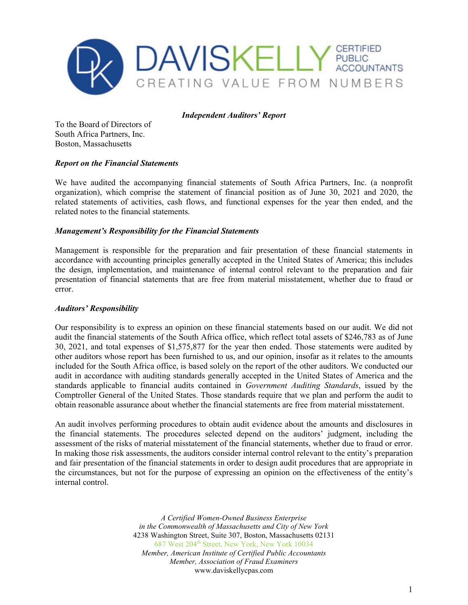

#### *Independent Auditors' Report*

To the Board of Directors of South Africa Partners, Inc. Boston, Massachusetts

#### *Report on the Financial Statements*

We have audited the accompanying financial statements of South Africa Partners, Inc. (a nonprofit organization), which comprise the statement of financial position as of June 30, 2021 and 2020, the related statements of activities, cash flows, and functional expenses for the year then ended, and the related notes to the financial statements.

#### *Management's Responsibility for the Financial Statements*

Management is responsible for the preparation and fair presentation of these financial statements in accordance with accounting principles generally accepted in the United States of America; this includes the design, implementation, and maintenance of internal control relevant to the preparation and fair presentation of financial statements that are free from material misstatement, whether due to fraud or error.

#### *Auditors' Responsibility*

Our responsibility is to express an opinion on these financial statements based on our audit. We did not audit the financial statements of the South Africa office, which reflect total assets of \$246,783 as of June 30, 2021, and total expenses of \$1,575,877 for the year then ended. Those statements were audited by other auditors whose report has been furnished to us, and our opinion, insofar as it relates to the amounts included for the South Africa office, is based solely on the report of the other auditors. We conducted our audit in accordance with auditing standards generally accepted in the United States of America and the standards applicable to financial audits contained in *Government Auditing Standards*, issued by the Comptroller General of the United States. Those standards require that we plan and perform the audit to obtain reasonable assurance about whether the financial statements are free from material misstatement.

An audit involves performing procedures to obtain audit evidence about the amounts and disclosures in the financial statements. The procedures selected depend on the auditors' judgment, including the assessment of the risks of material misstatement of the financial statements, whether due to fraud or error. In making those risk assessments, the auditors consider internal control relevant to the entity's preparation and fair presentation of the financial statements in order to design audit procedures that are appropriate in the circumstances, but not for the purpose of expressing an opinion on the effectiveness of the entity's internal control.

> *A Certified Women-Owned Business Enterprise in the Commonwealth of Massachusetts and City of New York* 4238 Washington Street, Suite 307, Boston, Massachusetts 02131 687 West 204th Street, New York, New York 10034 *Member, American Institute of Certified Public Accountants Member, Association of Fraud Examiners*  www.daviskellycpas.com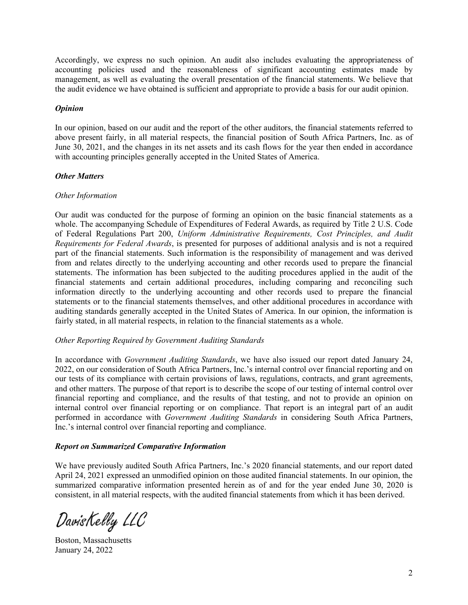Accordingly, we express no such opinion. An audit also includes evaluating the appropriateness of accounting policies used and the reasonableness of significant accounting estimates made by management, as well as evaluating the overall presentation of the financial statements. We believe that the audit evidence we have obtained is sufficient and appropriate to provide a basis for our audit opinion.

#### *Opinion*

In our opinion, based on our audit and the report of the other auditors, the financial statements referred to above present fairly, in all material respects, the financial position of South Africa Partners, Inc. as of June 30, 2021, and the changes in its net assets and its cash flows for the year then ended in accordance with accounting principles generally accepted in the United States of America.

#### *Other Matters*

#### *Other Information*

Our audit was conducted for the purpose of forming an opinion on the basic financial statements as a whole. The accompanying Schedule of Expenditures of Federal Awards, as required by Title 2 U.S. Code of Federal Regulations Part 200, *Uniform Administrative Requirements, Cost Principles, and Audit Requirements for Federal Awards*, is presented for purposes of additional analysis and is not a required part of the financial statements. Such information is the responsibility of management and was derived from and relates directly to the underlying accounting and other records used to prepare the financial statements. The information has been subjected to the auditing procedures applied in the audit of the financial statements and certain additional procedures, including comparing and reconciling such information directly to the underlying accounting and other records used to prepare the financial statements or to the financial statements themselves, and other additional procedures in accordance with auditing standards generally accepted in the United States of America. In our opinion, the information is fairly stated, in all material respects, in relation to the financial statements as a whole.

### *Other Reporting Required by Government Auditing Standards*

In accordance with *Government Auditing Standards*, we have also issued our report dated January 24, 2022, on our consideration of South Africa Partners, Inc.'s internal control over financial reporting and on our tests of its compliance with certain provisions of laws, regulations, contracts, and grant agreements, and other matters. The purpose of that report is to describe the scope of our testing of internal control over financial reporting and compliance, and the results of that testing, and not to provide an opinion on internal control over financial reporting or on compliance. That report is an integral part of an audit performed in accordance with *Government Auditing Standards* in considering South Africa Partners, Inc.'s internal control over financial reporting and compliance.

### *Report on Summarized Comparative Information*

We have previously audited South Africa Partners, Inc.'s 2020 financial statements, and our report dated April 24, 2021 expressed an unmodified opinion on those audited financial statements. In our opinion, the summarized comparative information presented herein as of and for the year ended June 30, 2020 is consistent, in all material respects, with the audited financial statements from which it has been derived.

DavisKelly LLC

Boston, Massachusetts January 24, 2022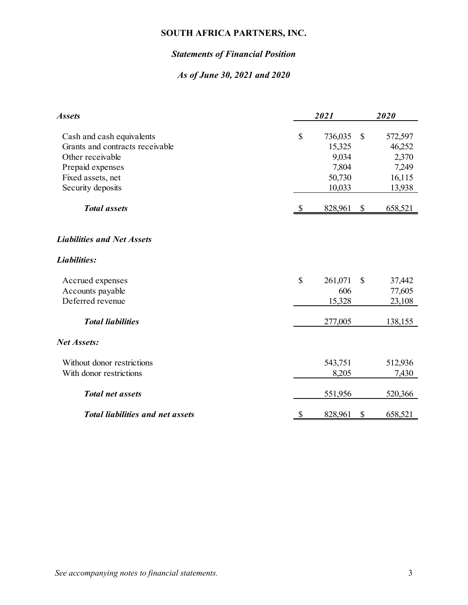## *Statements of Financial Position*

## *As of June 30, 2021 and 2020*

| <i><b>Assets</b></i>                    | 2021 | 2020    |                           |         |
|-----------------------------------------|------|---------|---------------------------|---------|
| Cash and cash equivalents               | \$   | 736,035 | $\mathcal{S}$             | 572,597 |
| Grants and contracts receivable         |      | 15,325  |                           | 46,252  |
| Other receivable                        |      | 9,034   |                           | 2,370   |
| Prepaid expenses                        |      | 7,804   |                           | 7,249   |
| Fixed assets, net                       |      | 50,730  |                           | 16,115  |
| Security deposits                       |      | 10,033  |                           | 13,938  |
| <b>Total</b> assets                     | \$   | 828,961 | $\boldsymbol{\mathsf{S}}$ | 658,521 |
| <b>Liabilities and Net Assets</b>       |      |         |                           |         |
| Liabilities:                            |      |         |                           |         |
| Accrued expenses                        | \$   | 261,071 | S                         | 37,442  |
| Accounts payable                        |      | 606     |                           | 77,605  |
| Deferred revenue                        |      | 15,328  |                           | 23,108  |
| <b>Total liabilities</b>                |      | 277,005 |                           | 138,155 |
| <b>Net Assets:</b>                      |      |         |                           |         |
| Without donor restrictions              |      | 543,751 |                           | 512,936 |
| With donor restrictions                 |      | 8,205   |                           | 7,430   |
| <b>Total net assets</b>                 |      | 551,956 |                           | 520,366 |
| <b>Total liabilities and net assets</b> | \$   | 828,961 | \$                        | 658,521 |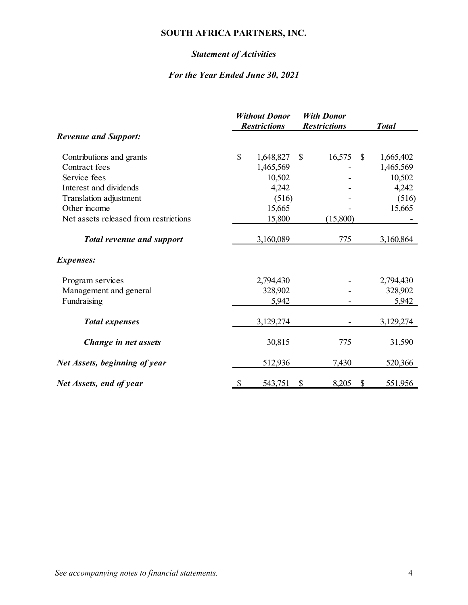## *Statement of Activities*

## *For the Year Ended June 30, 2021*

|                                       | <b>Without Donor</b> |              | <b>With Donor</b>       |              |
|---------------------------------------|----------------------|--------------|-------------------------|--------------|
|                                       | <b>Restrictions</b>  |              | <b>Restrictions</b>     | <b>Total</b> |
| <b>Revenue and Support:</b>           |                      |              |                         |              |
| Contributions and grants              | \$<br>1,648,827      | $\mathbb{S}$ | 16,575<br>$\mathcal{S}$ | 1,665,402    |
| Contract fees                         | 1,465,569            |              |                         | 1,465,569    |
| Service fees                          | 10,502               |              |                         | 10,502       |
| Interest and dividends                | 4,242                |              |                         | 4,242        |
| Translation adjustment                | (516)                |              |                         | (516)        |
| Other income                          | 15,665               |              |                         | 15,665       |
| Net assets released from restrictions | 15,800               |              | (15,800)                |              |
| <b>Total revenue and support</b>      | 3,160,089            |              | 775                     | 3,160,864    |
| <i>Expenses:</i>                      |                      |              |                         |              |
| Program services                      | 2,794,430            |              |                         | 2,794,430    |
| Management and general                | 328,902              |              |                         | 328,902      |
| Fundraising                           | 5,942                |              |                         | 5,942        |
| <b>Total expenses</b>                 | 3,129,274            |              |                         | 3,129,274    |
| Change in net assets                  | 30,815               |              | 775                     | 31,590       |
| <b>Net Assets, beginning of year</b>  | 512,936              |              | 7,430                   | 520,366      |
| Net Assets, end of year               | \$<br>543,751        | \$           | 8,205<br>\$             | 551,956      |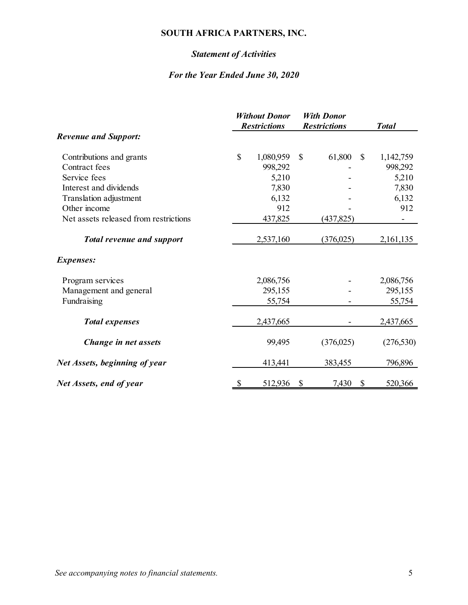## *Statement of Activities*

## *For the Year Ended June 30, 2020*

|                                       |              | <b>Without Donor</b> |               | <b>With Donor</b>       |              |  |
|---------------------------------------|--------------|----------------------|---------------|-------------------------|--------------|--|
|                                       |              | <b>Restrictions</b>  |               | <b>Restrictions</b>     | <b>Total</b> |  |
| <b>Revenue and Support:</b>           |              |                      |               |                         |              |  |
| Contributions and grants              | $\mathbb{S}$ | 1,080,959            | $\mathcal{S}$ | 61,800<br>$\mathcal{S}$ | 1,142,759    |  |
| Contract fees                         |              | 998,292              |               |                         | 998,292      |  |
| Service fees                          |              | 5,210                |               |                         | 5,210        |  |
| Interest and dividends                |              | 7,830                |               |                         | 7,830        |  |
| Translation adjustment                |              | 6,132                |               |                         | 6,132        |  |
| Other income                          |              | 912                  |               |                         | 912          |  |
| Net assets released from restrictions |              | 437,825              |               | (437, 825)              |              |  |
| <b>Total revenue and support</b>      |              | 2,537,160            |               | (376, 025)              | 2,161,135    |  |
| <i>Expenses:</i>                      |              |                      |               |                         |              |  |
| Program services                      |              | 2,086,756            |               |                         | 2,086,756    |  |
| Management and general                |              | 295,155              |               |                         | 295,155      |  |
| Fundraising                           |              | 55,754               |               |                         | 55,754       |  |
| <b>Total expenses</b>                 |              | 2,437,665            |               |                         | 2,437,665    |  |
| Change in net assets                  |              | 99,495               |               | (376,025)               | (276, 530)   |  |
| <b>Net Assets, beginning of year</b>  |              | 413,441              |               | 383,455                 | 796,896      |  |
| Net Assets, end of year               | \$           | 512,936              | \$            | 7,430<br>\$             | 520,366      |  |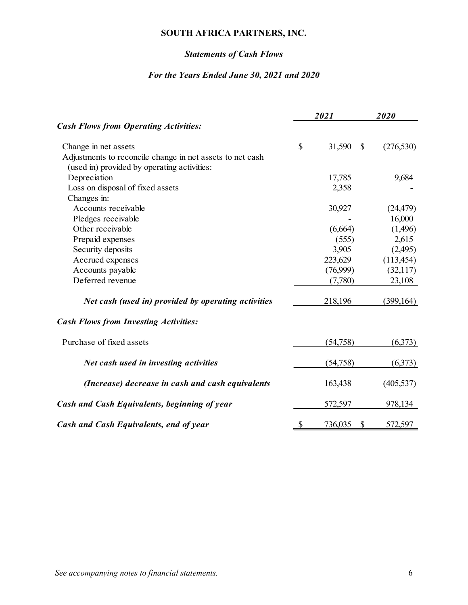## *Statements of Cash Flows*

## *For the Years Ended June 30, 2021 and 2020*

|                                                           | 2021          |              | 2020       |  |
|-----------------------------------------------------------|---------------|--------------|------------|--|
| <b>Cash Flows from Operating Activities:</b>              |               |              |            |  |
| Change in net assets                                      | \$<br>31,590  | $\mathbb{S}$ | (276, 530) |  |
| Adjustments to reconcile change in net assets to net cash |               |              |            |  |
| (used in) provided by operating activities:               |               |              |            |  |
| Depreciation                                              | 17,785        |              | 9,684      |  |
| Loss on disposal of fixed assets                          | 2,358         |              |            |  |
| Changes in:                                               |               |              |            |  |
| Accounts receivable                                       | 30,927        |              | (24, 479)  |  |
| Pledges receivable                                        |               |              | 16,000     |  |
| Other receivable                                          | (6,664)       |              | (1,496)    |  |
| Prepaid expenses                                          | (555)         |              | 2,615      |  |
| Security deposits                                         | 3,905         |              | (2,495)    |  |
| Accrued expenses                                          | 223,629       |              | (113, 454) |  |
| Accounts payable                                          | (76,999)      |              | (32,117)   |  |
| Deferred revenue                                          | (7,780)       |              | 23,108     |  |
| Net cash (used in) provided by operating activities       | 218,196       |              | (399, 164) |  |
| <b>Cash Flows from Investing Activities:</b>              |               |              |            |  |
| Purchase of fixed assets                                  | (54,758)      |              | (6,373)    |  |
| Net cash used in investing activities                     | (54,758)      |              | (6,373)    |  |
| (Increase) decrease in cash and cash equivalents          | 163,438       |              | (405, 537) |  |
| Cash and Cash Equivalents, beginning of year              | 572,597       |              | 978,134    |  |
| Cash and Cash Equivalents, end of year                    | \$<br>736,035 | \$           | 572,597    |  |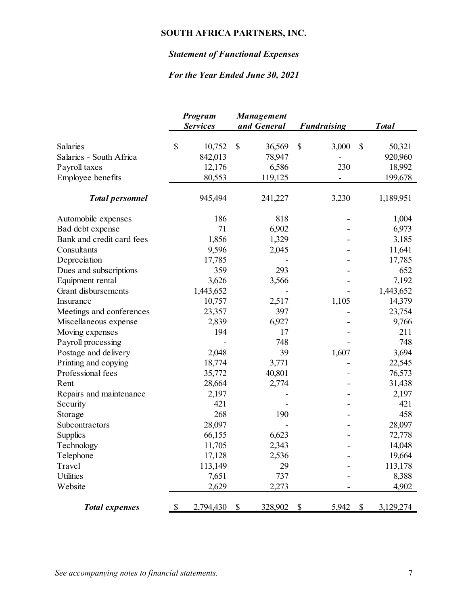## *Statement of Functional Expenses*

## *For the Year Ended June 30, 2021*

|                           | Program         |              | <b>Management</b> |                    |                 |
|---------------------------|-----------------|--------------|-------------------|--------------------|-----------------|
|                           | <b>Services</b> |              | and General       | <b>Fundraising</b> | <b>Total</b>    |
|                           |                 |              |                   |                    |                 |
| Salaries                  | \$<br>10,752    | \$           | 36,569            | \$<br>3,000        | \$<br>50,321    |
| Salaries - South Africa   | 842,013         |              | 78,947            |                    | 920,960         |
| Payroll taxes             | 12,176          |              | 6,586             | 230                | 18,992          |
| Employee benefits         | 80,553          |              | 119,125           |                    | 199,678         |
| <b>Total personnel</b>    | 945,494         |              | 241,227           | 3,230              | 1,189,951       |
| Automobile expenses       | 186             |              | 818               |                    | 1,004           |
| Bad debt expense          | 71              |              | 6,902             |                    | 6,973           |
| Bank and credit card fees | 1,856           |              | 1,329             |                    | 3,185           |
| Consultants               | 9,596           |              | 2,045             |                    | 11,641          |
| Depreciation              | 17,785          |              |                   |                    | 17,785          |
| Dues and subscriptions    | 359             |              | 293               |                    | 652             |
| Equipment rental          | 3,626           |              | 3,566             |                    | 7,192           |
| Grant disbursements       | 1,443,652       |              |                   |                    | 1,443,652       |
| Insurance                 | 10,757          |              | 2,517             | 1,105              | 14,379          |
| Meetings and conferences  | 23,357          |              | 397               |                    | 23,754          |
| Miscellaneous expense     | 2,839           |              | 6,927             |                    | 9,766           |
| Moving expenses           | 194             |              | 17                |                    | 211             |
| Payroll processing        |                 |              | 748               |                    | 748             |
| Postage and delivery      | 2,048           |              | 39                | 1,607              | 3,694           |
| Printing and copying      | 18,774          |              | 3,771             |                    | 22,545          |
| Professional fees         | 35,772          |              | 40,801            |                    | 76,573          |
| Rent                      | 28,664          |              | 2,774             |                    | 31,438          |
| Repairs and maintenance   | 2,197           |              |                   |                    | 2,197           |
| Security                  | 421             |              |                   |                    | 421             |
| Storage                   | 268             |              | 190               |                    | 458             |
| Subcontractors            | 28,097          |              |                   |                    | 28,097          |
| <b>Supplies</b>           | 66,155          |              | 6,623             |                    | 72,778          |
| Technology                | 11,705          |              | 2,343             |                    | 14,048          |
| Telephone                 | 17,128          |              | 2,536             |                    | 19,664          |
| Travel                    | 113,149         |              | 29                |                    | 113,178         |
| <b>Utilities</b>          | 7,651           |              | 737               |                    | 8,388           |
| Website                   | 2,629           |              | 2,273             |                    | 4,902           |
| <b>Total expenses</b>     | \$<br>2,794,430 | $\mathbb{S}$ | 328,902           | \$<br>5,942        | \$<br>3,129,274 |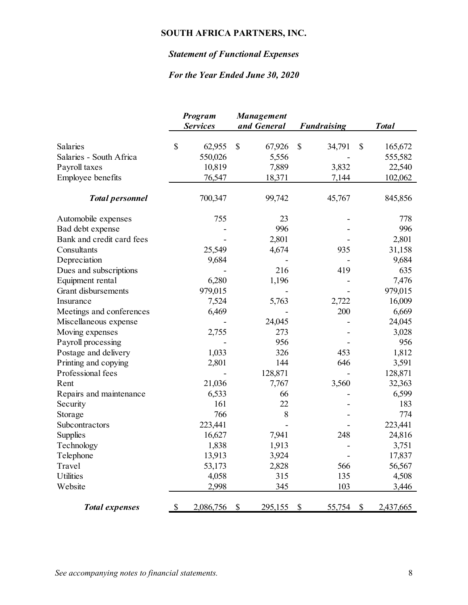## *Statement of Functional Expenses*

## *For the Year Ended June 30, 2020*

|                           |    | Program<br><b>Services</b> | <b>Management</b><br>and General | <b>Fundraising</b>  |    | <b>Total</b> |
|---------------------------|----|----------------------------|----------------------------------|---------------------|----|--------------|
| Salaries                  | \$ | 62,955                     | \$<br>67,926                     | \$<br>34,791        | S  | 165,672      |
| Salaries - South Africa   |    | 550,026                    | 5,556                            |                     |    | 555,582      |
| Payroll taxes             |    | 10,819                     | 7,889                            | 3,832               |    | 22,540       |
| Employee benefits         |    | 76,547                     | 18,371                           | 7,144               |    | 102,062      |
| <b>Total personnel</b>    |    | 700,347                    | 99,742                           | 45,767              |    | 845,856      |
| Automobile expenses       |    | 755                        | 23                               |                     |    | 778          |
| Bad debt expense          |    |                            | 996                              |                     |    | 996          |
| Bank and credit card fees |    |                            | 2,801                            |                     |    | 2,801        |
| Consultants               |    | 25,549                     | 4,674                            | 935                 |    | 31,158       |
| Depreciation              |    | 9,684                      |                                  |                     |    | 9,684        |
| Dues and subscriptions    |    |                            | 216                              | 419                 |    | 635          |
| Equipment rental          |    | 6,280                      | 1,196                            |                     |    | 7,476        |
| Grant disbursements       |    | 979,015                    |                                  |                     |    | 979,015      |
| Insurance                 |    | 7,524                      | 5,763                            | 2,722               |    | 16,009       |
| Meetings and conferences  |    | 6,469                      |                                  | 200                 |    | 6,669        |
| Miscellaneous expense     |    |                            | 24,045                           |                     |    | 24,045       |
| Moving expenses           |    | 2,755                      | 273                              |                     |    | 3,028        |
| Payroll processing        |    |                            | 956                              |                     |    | 956          |
| Postage and delivery      |    | 1,033                      | 326                              | 453                 |    | 1,812        |
| Printing and copying      |    | 2,801                      | 144                              | 646                 |    | 3,591        |
| Professional fees         |    |                            | 128,871                          |                     |    | 128,871      |
| Rent                      |    | 21,036                     | 7,767                            | 3,560               |    | 32,363       |
| Repairs and maintenance   |    | 6,533                      | 66                               |                     |    | 6,599        |
| Security                  |    | 161                        | 22                               |                     |    | 183          |
| Storage                   |    | 766                        | 8                                |                     |    | 774          |
| Subcontractors            |    | 223,441                    |                                  |                     |    | 223,441      |
| <b>Supplies</b>           |    | 16,627                     | 7,941                            | 248                 |    | 24,816       |
| Technology                |    | 1,838                      | 1,913                            |                     |    | 3,751        |
| Telephone                 |    | 13,913                     | 3,924                            |                     |    | 17,837       |
| Travel                    |    | 53,173                     | 2,828                            | 566                 |    | 56,567       |
| <b>Utilities</b>          |    | 4,058                      | 315                              | 135                 |    | 4,508        |
| Website                   |    | 2,998                      | 345                              | 103                 |    | 3,446        |
| <b>Total expenses</b>     | Ъ, | 2,086,756                  | \$<br>295,155                    | \$<br><u>55,754</u> | \$ | 2,437,665    |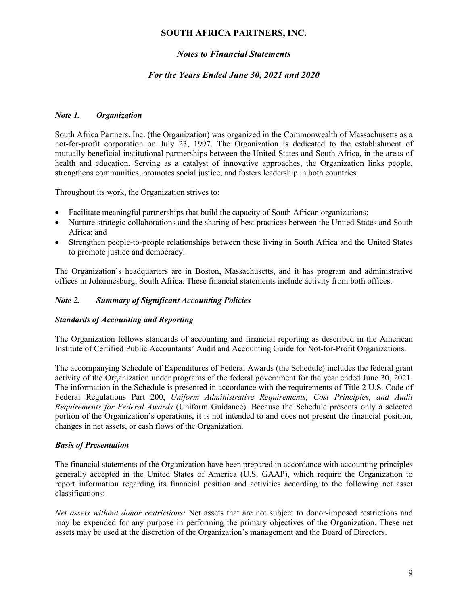## *Notes to Financial Statements*

### *For the Years Ended June 30, 2021 and 2020*

#### *Note 1. Organization*

South Africa Partners, Inc. (the Organization) was organized in the Commonwealth of Massachusetts as a not-for-profit corporation on July 23, 1997. The Organization is dedicated to the establishment of mutually beneficial institutional partnerships between the United States and South Africa, in the areas of health and education. Serving as a catalyst of innovative approaches, the Organization links people, strengthens communities, promotes social justice, and fosters leadership in both countries.

Throughout its work, the Organization strives to:

- Facilitate meaningful partnerships that build the capacity of South African organizations;
- Nurture strategic collaborations and the sharing of best practices between the United States and South Africa; and
- Strengthen people-to-people relationships between those living in South Africa and the United States to promote justice and democracy.

The Organization's headquarters are in Boston, Massachusetts, and it has program and administrative offices in Johannesburg, South Africa. These financial statements include activity from both offices.

#### *Note 2. Summary of Significant Accounting Policies*

#### *Standards of Accounting and Reporting*

The Organization follows standards of accounting and financial reporting as described in the American Institute of Certified Public Accountants' Audit and Accounting Guide for Not-for-Profit Organizations.

The accompanying Schedule of Expenditures of Federal Awards (the Schedule) includes the federal grant activity of the Organization under programs of the federal government for the year ended June 30, 2021. The information in the Schedule is presented in accordance with the requirements of Title 2 U.S. Code of Federal Regulations Part 200, *Uniform Administrative Requirements, Cost Principles, and Audit Requirements for Federal Awards* (Uniform Guidance). Because the Schedule presents only a selected portion of the Organization's operations, it is not intended to and does not present the financial position, changes in net assets, or cash flows of the Organization.

#### *Basis of Presentation*

The financial statements of the Organization have been prepared in accordance with accounting principles generally accepted in the United States of America (U.S. GAAP), which require the Organization to report information regarding its financial position and activities according to the following net asset classifications:

*Net assets without donor restrictions:* Net assets that are not subject to donor-imposed restrictions and may be expended for any purpose in performing the primary objectives of the Organization. These net assets may be used at the discretion of the Organization's management and the Board of Directors.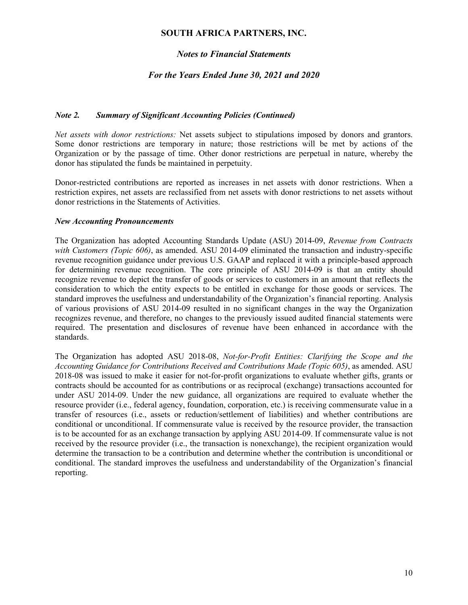#### *Notes to Financial Statements*

#### *For the Years Ended June 30, 2021 and 2020*

#### *Note 2. Summary of Significant Accounting Policies (Continued)*

*Net assets with donor restrictions:* Net assets subject to stipulations imposed by donors and grantors. Some donor restrictions are temporary in nature; those restrictions will be met by actions of the Organization or by the passage of time. Other donor restrictions are perpetual in nature, whereby the donor has stipulated the funds be maintained in perpetuity.

Donor-restricted contributions are reported as increases in net assets with donor restrictions. When a restriction expires, net assets are reclassified from net assets with donor restrictions to net assets without donor restrictions in the Statements of Activities.

#### *New Accounting Pronouncements*

The Organization has adopted Accounting Standards Update (ASU) 2014-09, *Revenue from Contracts with Customers (Topic 606)*, as amended. ASU 2014-09 eliminated the transaction and industry-specific revenue recognition guidance under previous U.S. GAAP and replaced it with a principle-based approach for determining revenue recognition. The core principle of ASU 2014-09 is that an entity should recognize revenue to depict the transfer of goods or services to customers in an amount that reflects the consideration to which the entity expects to be entitled in exchange for those goods or services. The standard improves the usefulness and understandability of the Organization's financial reporting. Analysis of various provisions of ASU 2014-09 resulted in no significant changes in the way the Organization recognizes revenue, and therefore, no changes to the previously issued audited financial statements were required. The presentation and disclosures of revenue have been enhanced in accordance with the standards.

The Organization has adopted ASU 2018-08, *Not-for-Profit Entities: Clarifying the Scope and the Accounting Guidance for Contributions Received and Contributions Made (Topic 605)*, as amended. ASU 2018-08 was issued to make it easier for not-for-profit organizations to evaluate whether gifts, grants or contracts should be accounted for as contributions or as reciprocal (exchange) transactions accounted for under ASU 2014-09. Under the new guidance, all organizations are required to evaluate whether the resource provider (i.e., federal agency, foundation, corporation, etc.) is receiving commensurate value in a transfer of resources (i.e., assets or reduction/settlement of liabilities) and whether contributions are conditional or unconditional. If commensurate value is received by the resource provider, the transaction is to be accounted for as an exchange transaction by applying ASU 2014-09. If commensurate value is not received by the resource provider (i.e., the transaction is nonexchange), the recipient organization would determine the transaction to be a contribution and determine whether the contribution is unconditional or conditional. The standard improves the usefulness and understandability of the Organization's financial reporting.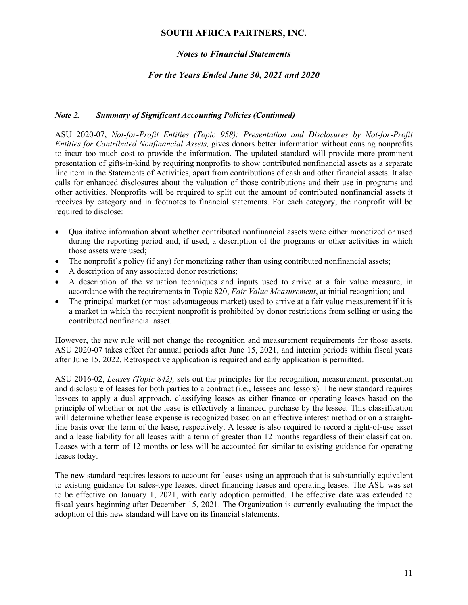### *Notes to Financial Statements*

### *For the Years Ended June 30, 2021 and 2020*

#### *Note 2. Summary of Significant Accounting Policies (Continued)*

ASU 2020-07, *Not-for-Profit Entities (Topic 958): Presentation and Disclosures by Not-for-Profit Entities for Contributed Nonfinancial Assets,* gives donors better information without causing nonprofits to incur too much cost to provide the information. The updated standard will provide more prominent presentation of gifts-in-kind by requiring nonprofits to show contributed nonfinancial assets as a separate line item in the Statements of Activities, apart from contributions of cash and other financial assets. It also calls for enhanced disclosures about the valuation of those contributions and their use in programs and other activities. Nonprofits will be required to split out the amount of contributed nonfinancial assets it receives by category and in footnotes to financial statements. For each category, the nonprofit will be required to disclose:

- Qualitative information about whether contributed nonfinancial assets were either monetized or used during the reporting period and, if used, a description of the programs or other activities in which those assets were used;
- The nonprofit's policy (if any) for monetizing rather than using contributed nonfinancial assets;
- A description of any associated donor restrictions;
- A description of the valuation techniques and inputs used to arrive at a fair value measure, in accordance with the requirements in Topic 820, *Fair Value Measurement*, at initial recognition; and
- The principal market (or most advantageous market) used to arrive at a fair value measurement if it is a market in which the recipient nonprofit is prohibited by donor restrictions from selling or using the contributed nonfinancial asset.

However, the new rule will not change the recognition and measurement requirements for those assets. ASU 2020-07 takes effect for annual periods after June 15, 2021, and interim periods within fiscal years after June 15, 2022. Retrospective application is required and early application is permitted.

ASU 2016-02, *Leases (Topic 842),* sets out the principles for the recognition, measurement, presentation and disclosure of leases for both parties to a contract (i.e., lessees and lessors). The new standard requires lessees to apply a dual approach, classifying leases as either finance or operating leases based on the principle of whether or not the lease is effectively a financed purchase by the lessee. This classification will determine whether lease expense is recognized based on an effective interest method or on a straightline basis over the term of the lease, respectively. A lessee is also required to record a right-of-use asset and a lease liability for all leases with a term of greater than 12 months regardless of their classification. Leases with a term of 12 months or less will be accounted for similar to existing guidance for operating leases today.

The new standard requires lessors to account for leases using an approach that is substantially equivalent to existing guidance for sales-type leases, direct financing leases and operating leases. The ASU was set to be effective on January 1, 2021, with early adoption permitted. The effective date was extended to fiscal years beginning after December 15, 2021. The Organization is currently evaluating the impact the adoption of this new standard will have on its financial statements.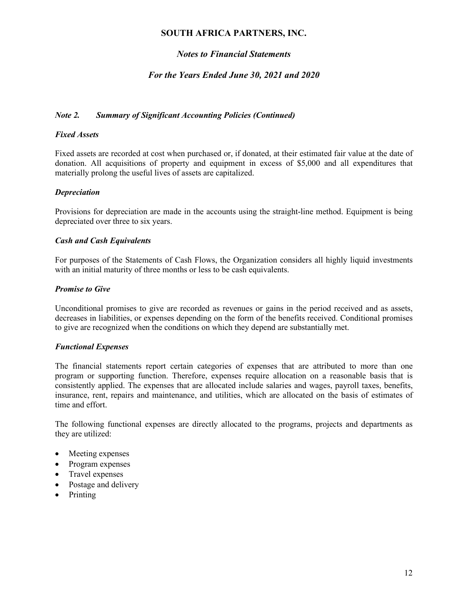## *Notes to Financial Statements*

### *For the Years Ended June 30, 2021 and 2020*

### *Note 2. Summary of Significant Accounting Policies (Continued)*

#### *Fixed Assets*

Fixed assets are recorded at cost when purchased or, if donated, at their estimated fair value at the date of donation. All acquisitions of property and equipment in excess of \$5,000 and all expenditures that materially prolong the useful lives of assets are capitalized.

#### *Depreciation*

Provisions for depreciation are made in the accounts using the straight-line method. Equipment is being depreciated over three to six years.

#### *Cash and Cash Equivalents*

For purposes of the Statements of Cash Flows, the Organization considers all highly liquid investments with an initial maturity of three months or less to be cash equivalents.

#### *Promise to Give*

Unconditional promises to give are recorded as revenues or gains in the period received and as assets, decreases in liabilities, or expenses depending on the form of the benefits received. Conditional promises to give are recognized when the conditions on which they depend are substantially met.

#### *Functional Expenses*

The financial statements report certain categories of expenses that are attributed to more than one program or supporting function. Therefore, expenses require allocation on a reasonable basis that is consistently applied. The expenses that are allocated include salaries and wages, payroll taxes, benefits, insurance, rent, repairs and maintenance, and utilities, which are allocated on the basis of estimates of time and effort.

The following functional expenses are directly allocated to the programs, projects and departments as they are utilized:

- Meeting expenses
- Program expenses
- Travel expenses
- Postage and delivery
- Printing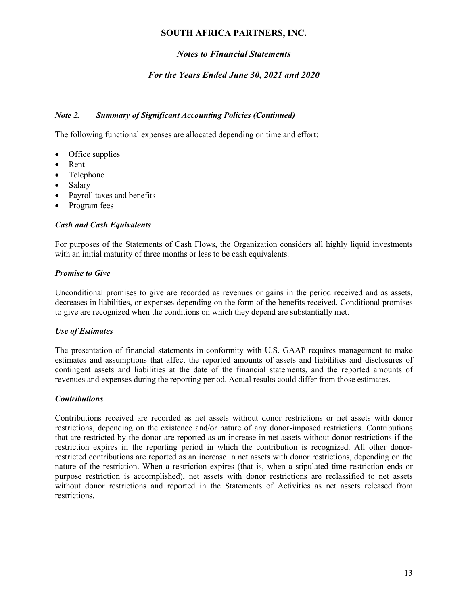## *Notes to Financial Statements*

## *For the Years Ended June 30, 2021 and 2020*

#### *Note 2. Summary of Significant Accounting Policies (Continued)*

The following functional expenses are allocated depending on time and effort:

- Office supplies
- Rent
- Telephone
- Salary
- Payroll taxes and benefits
- Program fees

#### *Cash and Cash Equivalents*

For purposes of the Statements of Cash Flows, the Organization considers all highly liquid investments with an initial maturity of three months or less to be cash equivalents.

#### *Promise to Give*

Unconditional promises to give are recorded as revenues or gains in the period received and as assets, decreases in liabilities, or expenses depending on the form of the benefits received. Conditional promises to give are recognized when the conditions on which they depend are substantially met.

#### *Use of Estimates*

The presentation of financial statements in conformity with U.S. GAAP requires management to make estimates and assumptions that affect the reported amounts of assets and liabilities and disclosures of contingent assets and liabilities at the date of the financial statements, and the reported amounts of revenues and expenses during the reporting period. Actual results could differ from those estimates.

#### *Contributions*

Contributions received are recorded as net assets without donor restrictions or net assets with donor restrictions, depending on the existence and/or nature of any donor-imposed restrictions. Contributions that are restricted by the donor are reported as an increase in net assets without donor restrictions if the restriction expires in the reporting period in which the contribution is recognized. All other donorrestricted contributions are reported as an increase in net assets with donor restrictions, depending on the nature of the restriction. When a restriction expires (that is, when a stipulated time restriction ends or purpose restriction is accomplished), net assets with donor restrictions are reclassified to net assets without donor restrictions and reported in the Statements of Activities as net assets released from restrictions.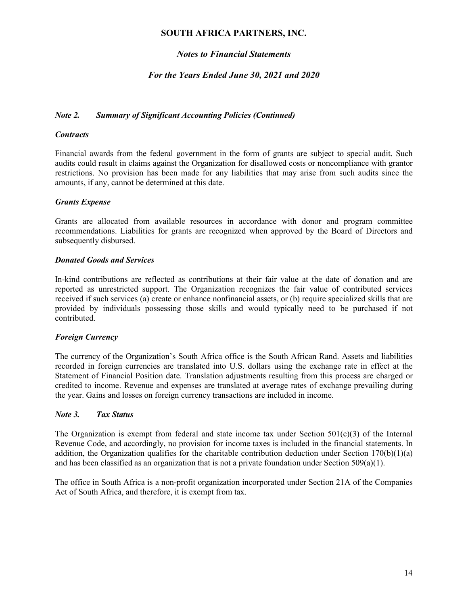## *Notes to Financial Statements*

### *For the Years Ended June 30, 2021 and 2020*

#### *Note 2. Summary of Significant Accounting Policies (Continued)*

#### *Contracts*

Financial awards from the federal government in the form of grants are subject to special audit. Such audits could result in claims against the Organization for disallowed costs or noncompliance with grantor restrictions. No provision has been made for any liabilities that may arise from such audits since the amounts, if any, cannot be determined at this date.

#### *Grants Expense*

Grants are allocated from available resources in accordance with donor and program committee recommendations. Liabilities for grants are recognized when approved by the Board of Directors and subsequently disbursed.

#### *Donated Goods and Services*

In-kind contributions are reflected as contributions at their fair value at the date of donation and are reported as unrestricted support. The Organization recognizes the fair value of contributed services received if such services (a) create or enhance nonfinancial assets, or (b) require specialized skills that are provided by individuals possessing those skills and would typically need to be purchased if not contributed.

### *Foreign Currency*

The currency of the Organization's South Africa office is the South African Rand. Assets and liabilities recorded in foreign currencies are translated into U.S. dollars using the exchange rate in effect at the Statement of Financial Position date. Translation adjustments resulting from this process are charged or credited to income. Revenue and expenses are translated at average rates of exchange prevailing during the year. Gains and losses on foreign currency transactions are included in income.

### *Note 3. Tax Status*

The Organization is exempt from federal and state income tax under Section  $501(c)(3)$  of the Internal Revenue Code, and accordingly, no provision for income taxes is included in the financial statements. In addition, the Organization qualifies for the charitable contribution deduction under Section  $170(b)(1)(a)$ and has been classified as an organization that is not a private foundation under Section  $509(a)(1)$ .

The office in South Africa is a non-profit organization incorporated under Section 21A of the Companies Act of South Africa, and therefore, it is exempt from tax.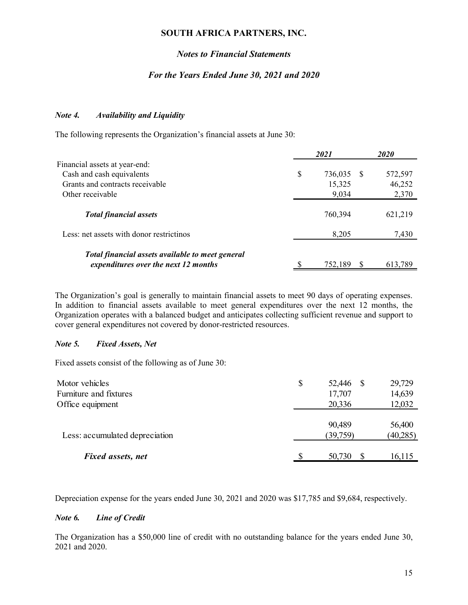### *Notes to Financial Statements*

### *For the Years Ended June 30, 2021 and 2020*

#### *Note 4. Availability and Liquidity*

The following represents the Organization's financial assets at June 30:

|                                                                                          |    | 2021    | <i>2020</i> |  |
|------------------------------------------------------------------------------------------|----|---------|-------------|--|
| Financial assets at year-end:                                                            |    |         |             |  |
| Cash and cash equivalents                                                                | \$ | 736,035 | 572,597     |  |
| Grants and contracts receivable                                                          |    | 15,325  | 46,252      |  |
| Other receivable                                                                         |    | 9,034   | 2,370       |  |
| <b>Total financial assets</b>                                                            |    | 760,394 | 621,219     |  |
| Less: net assets with donor restrictinos                                                 |    | 8,205   | 7,430       |  |
| Total financial assets available to meet general<br>expenditures over the next 12 months | S  | 752.189 | 613.789     |  |

The Organization's goal is generally to maintain financial assets to meet 90 days of operating expenses. In addition to financial assets available to meet general expenditures over the next 12 months, the Organization operates with a balanced budget and anticipates collecting sufficient revenue and support to cover general expenditures not covered by donor-restricted resources.

#### *Note 5. Fixed Assets, Net*

Fixed assets consist of the following as of June 30:

| Motor vehicles                 | \$<br>52,446       | 29,729             |
|--------------------------------|--------------------|--------------------|
| Furniture and fixtures         | 17,707             | 14,639             |
| Office equipment               | 20,336             | 12,032             |
| Less: accumulated depreciation | 90,489<br>(39,759) | 56,400<br>(40,285) |
| <b>Fixed assets, net</b>       | 50,730             | 16,115             |

Depreciation expense for the years ended June 30, 2021 and 2020 was \$17,785 and \$9,684, respectively.

#### *Note 6. Line of Credit*

The Organization has a \$50,000 line of credit with no outstanding balance for the years ended June 30, 2021 and 2020.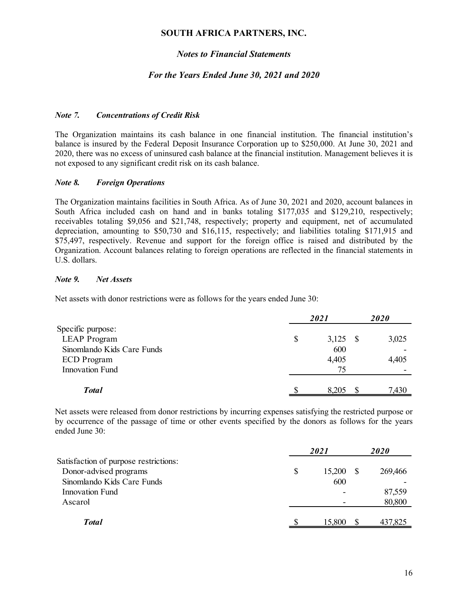## *Notes to Financial Statements*

### *For the Years Ended June 30, 2021 and 2020*

#### *Note 7. Concentrations of Credit Risk*

The Organization maintains its cash balance in one financial institution. The financial institution's balance is insured by the Federal Deposit Insurance Corporation up to \$250,000. At June 30, 2021 and 2020, there was no excess of uninsured cash balance at the financial institution. Management believes it is not exposed to any significant credit risk on its cash balance.

#### *Note 8. Foreign Operations*

The Organization maintains facilities in South Africa. As of June 30, 2021 and 2020, account balances in South Africa included cash on hand and in banks totaling \$177,035 and \$129,210, respectively; receivables totaling \$9,056 and \$21,748, respectively; property and equipment, net of accumulated depreciation, amounting to \$50,730 and \$16,115, respectively; and liabilities totaling \$171,915 and \$75,497, respectively. Revenue and support for the foreign office is raised and distributed by the Organization. Account balances relating to foreign operations are reflected in the financial statements in U.S. dollars.

#### *Note 9. Net Assets*

Net assets with donor restrictions were as follows for the years ended June 30:

|                            | 2021 |       |  | 2020  |  |  |
|----------------------------|------|-------|--|-------|--|--|
| Specific purpose:          |      |       |  |       |  |  |
| <b>LEAP Program</b>        | \$   | 3,125 |  | 3,025 |  |  |
| Sinomlando Kids Care Funds |      | 600   |  |       |  |  |
| <b>ECD</b> Program         |      | 4,405 |  | 4,405 |  |  |
| <b>Innovation Fund</b>     |      | 75    |  |       |  |  |
| <b>Total</b>               |      | 8.205 |  | 7.430 |  |  |

Net assets were released from donor restrictions by incurring expenses satisfying the restricted purpose or by occurrence of the passage of time or other events specified by the donors as follows for the years ended June 30:

|                                       | 2021 |        | <i>2020</i> |         |
|---------------------------------------|------|--------|-------------|---------|
| Satisfaction of purpose restrictions: |      |        |             |         |
| Donor-advised programs                | \$   | 15,200 |             | 269,466 |
| Sinomlando Kids Care Funds            |      | 600    |             |         |
| Innovation Fund                       |      |        |             | 87,559  |
| Ascarol                               |      |        |             | 80,800  |
|                                       |      |        |             |         |
| <b>Total</b>                          |      | 15,800 |             | 437,825 |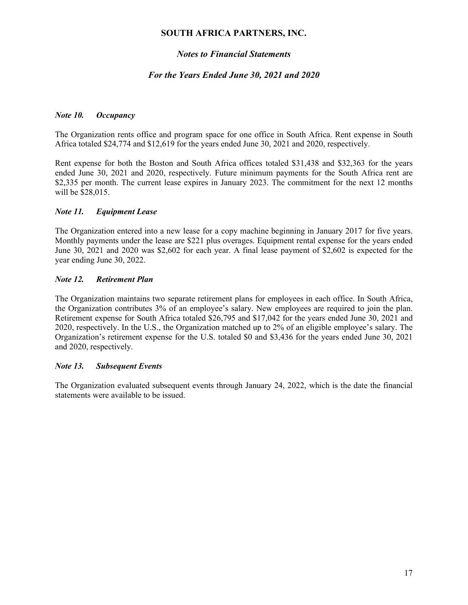## *Notes to Financial Statements*

### *For the Years Ended June 30, 2021 and 2020*

#### *Note 10. Occupancy*

The Organization rents office and program space for one office in South Africa. Rent expense in South Africa totaled \$24,774 and \$12,619 for the years ended June 30, 2021 and 2020, respectively.

Rent expense for both the Boston and South Africa offices totaled \$31,438 and \$32,363 for the years ended June 30, 2021 and 2020, respectively. Future minimum payments for the South Africa rent are \$2,335 per month. The current lease expires in January 2023. The commitment for the next 12 months will be \$28,015.

#### *Note 11. Equipment Lease*

The Organization entered into a new lease for a copy machine beginning in January 2017 for five years. Monthly payments under the lease are \$221 plus overages. Equipment rental expense for the years ended June 30, 2021 and 2020 was \$2,602 for each year. A final lease payment of \$2,602 is expected for the year ending June 30, 2022.

#### *Note 12. Retirement Plan*

The Organization maintains two separate retirement plans for employees in each office. In South Africa, the Organization contributes 3% of an employee's salary. New employees are required to join the plan. Retirement expense for South Africa totaled \$26,795 and \$17,042 for the years ended June 30, 2021 and 2020, respectively. In the U.S., the Organization matched up to 2% of an eligible employee's salary. The Organization's retirement expense for the U.S. totaled \$0 and \$3,436 for the years ended June 30, 2021 and 2020, respectively.

#### *Note 13. Subsequent Events*

The Organization evaluated subsequent events through January 24, 2022, which is the date the financial statements were available to be issued.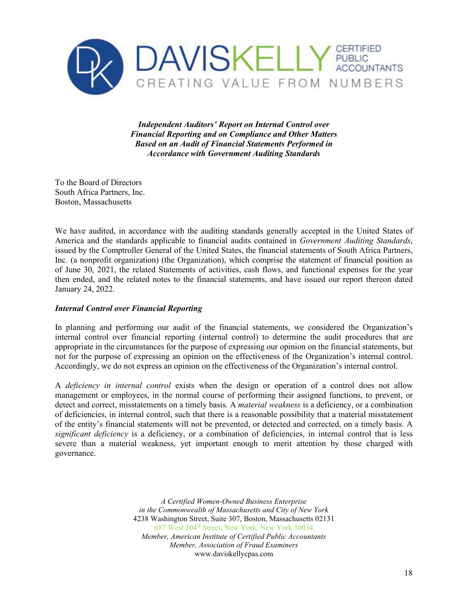

*Independent Auditors' Report on Internal Control over Financial Reporting and on Compliance and Other Matters Based on an Audit of Financial Statements Performed in Accordance with Government Auditing Standards*

To the Board of Directors South Africa Partners, Inc. Boston, Massachusetts

We have audited, in accordance with the auditing standards generally accepted in the United States of America and the standards applicable to financial audits contained in *Government Auditing Standards*, issued by the Comptroller General of the United States, the financial statements of South Africa Partners, Inc. (a nonprofit organization) (the Organization), which comprise the statement of financial position as of June 30, 2021, the related Statements of activities, cash flows, and functional expenses for the year then ended, and the related notes to the financial statements, and have issued our report thereon dated January 24, 2022.

#### *Internal Control over Financial Reporting*

In planning and performing our audit of the financial statements, we considered the Organization's internal control over financial reporting (internal control) to determine the audit procedures that are appropriate in the circumstances for the purpose of expressing our opinion on the financial statements, but not for the purpose of expressing an opinion on the effectiveness of the Organization's internal control. Accordingly, we do not express an opinion on the effectiveness of the Organization's internal control.

A *deficiency in internal control* exists when the design or operation of a control does not allow management or employees, in the normal course of performing their assigned functions, to prevent, or detect and correct, misstatements on a timely basis. A *material weakness* is a deficiency, or a combination of deficiencies, in internal control, such that there is a reasonable possibility that a material misstatement of the entity's financial statements will not be prevented, or detected and corrected, on a timely basis. A *significant deficiency* is a deficiency, or a combination of deficiencies, in internal control that is less severe than a material weakness, yet important enough to merit attention by those charged with governance.

> *A Certified Women-Owned Business Enterprise in the Commonwealth of Massachusetts and City of New York* 4238 Washington Street, Suite 307, Boston, Massachusetts 02131 687 West 204th Street, New York, New York 10034 *Member, American Institute of Certified Public Accountants Member, Association of Fraud Examiners*  www.daviskellycpas.com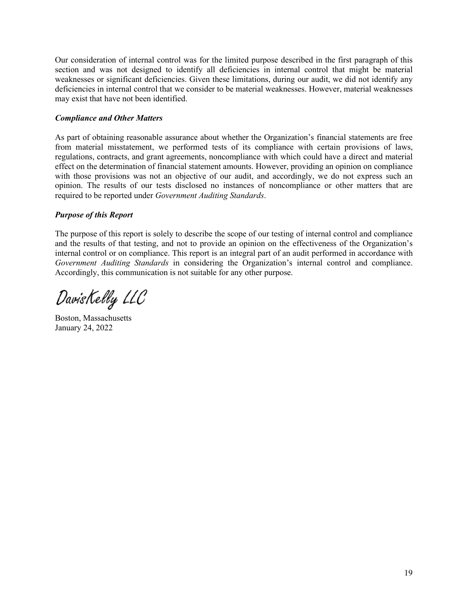Our consideration of internal control was for the limited purpose described in the first paragraph of this section and was not designed to identify all deficiencies in internal control that might be material weaknesses or significant deficiencies. Given these limitations, during our audit, we did not identify any deficiencies in internal control that we consider to be material weaknesses. However, material weaknesses may exist that have not been identified.

### *Compliance and Other Matters*

As part of obtaining reasonable assurance about whether the Organization's financial statements are free from material misstatement, we performed tests of its compliance with certain provisions of laws, regulations, contracts, and grant agreements, noncompliance with which could have a direct and material effect on the determination of financial statement amounts. However, providing an opinion on compliance with those provisions was not an objective of our audit, and accordingly, we do not express such an opinion. The results of our tests disclosed no instances of noncompliance or other matters that are required to be reported under *Government Auditing Standards*.

### *Purpose of this Report*

The purpose of this report is solely to describe the scope of our testing of internal control and compliance and the results of that testing, and not to provide an opinion on the effectiveness of the Organization's internal control or on compliance. This report is an integral part of an audit performed in accordance with *Government Auditing Standards* in considering the Organization's internal control and compliance. Accordingly, this communication is not suitable for any other purpose.

DavisKelly LLC

Boston, Massachusetts January 24, 2022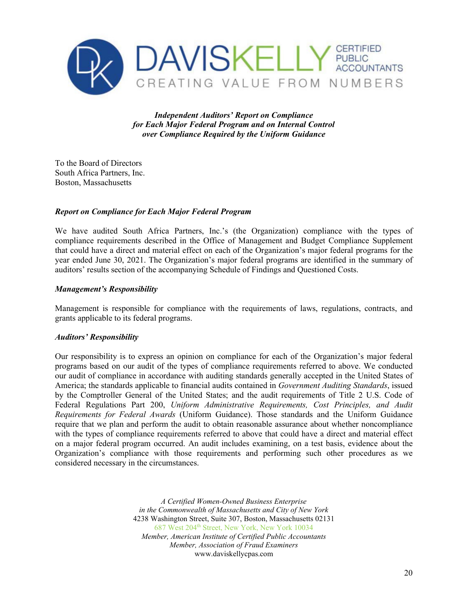

*Independent Auditors' Report on Compliance for Each Major Federal Program and on Internal Control over Compliance Required by the Uniform Guidance* 

To the Board of Directors South Africa Partners, Inc. Boston, Massachusetts

#### *Report on Compliance for Each Major Federal Program*

We have audited South Africa Partners, Inc.'s (the Organization) compliance with the types of compliance requirements described in the Office of Management and Budget Compliance Supplement that could have a direct and material effect on each of the Organization's major federal programs for the year ended June 30, 2021. The Organization's major federal programs are identified in the summary of auditors' results section of the accompanying Schedule of Findings and Questioned Costs.

#### *Management's Responsibility*

Management is responsible for compliance with the requirements of laws, regulations, contracts, and grants applicable to its federal programs.

#### *Auditors' Responsibility*

Our responsibility is to express an opinion on compliance for each of the Organization's major federal programs based on our audit of the types of compliance requirements referred to above. We conducted our audit of compliance in accordance with auditing standards generally accepted in the United States of America; the standards applicable to financial audits contained in *Government Auditing Standards*, issued by the Comptroller General of the United States; and the audit requirements of Title 2 U.S. Code of Federal Regulations Part 200, *Uniform Administrative Requirements, Cost Principles, and Audit Requirements for Federal Awards* (Uniform Guidance). Those standards and the Uniform Guidance require that we plan and perform the audit to obtain reasonable assurance about whether noncompliance with the types of compliance requirements referred to above that could have a direct and material effect on a major federal program occurred. An audit includes examining, on a test basis, evidence about the Organization's compliance with those requirements and performing such other procedures as we considered necessary in the circumstances.

> *A Certified Women-Owned Business Enterprise in the Commonwealth of Massachusetts and City of New York* 4238 Washington Street, Suite 307, Boston, Massachusetts 02131 687 West 204th Street, New York, New York 10034 *Member, American Institute of Certified Public Accountants Member, Association of Fraud Examiners*  www.daviskellycpas.com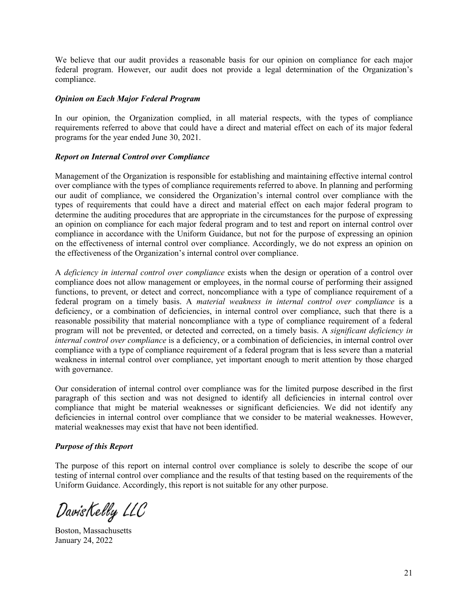We believe that our audit provides a reasonable basis for our opinion on compliance for each major federal program. However, our audit does not provide a legal determination of the Organization's compliance.

#### *Opinion on Each Major Federal Program*

In our opinion, the Organization complied, in all material respects, with the types of compliance requirements referred to above that could have a direct and material effect on each of its major federal programs for the year ended June 30, 2021.

#### *Report on Internal Control over Compliance*

Management of the Organization is responsible for establishing and maintaining effective internal control over compliance with the types of compliance requirements referred to above. In planning and performing our audit of compliance, we considered the Organization's internal control over compliance with the types of requirements that could have a direct and material effect on each major federal program to determine the auditing procedures that are appropriate in the circumstances for the purpose of expressing an opinion on compliance for each major federal program and to test and report on internal control over compliance in accordance with the Uniform Guidance, but not for the purpose of expressing an opinion on the effectiveness of internal control over compliance. Accordingly, we do not express an opinion on the effectiveness of the Organization's internal control over compliance.

A *deficiency in internal control over compliance* exists when the design or operation of a control over compliance does not allow management or employees, in the normal course of performing their assigned functions, to prevent, or detect and correct, noncompliance with a type of compliance requirement of a federal program on a timely basis. A *material weakness in internal control over compliance* is a deficiency, or a combination of deficiencies, in internal control over compliance, such that there is a reasonable possibility that material noncompliance with a type of compliance requirement of a federal program will not be prevented, or detected and corrected, on a timely basis. A *significant deficiency in internal control over compliance* is a deficiency, or a combination of deficiencies, in internal control over compliance with a type of compliance requirement of a federal program that is less severe than a material weakness in internal control over compliance, yet important enough to merit attention by those charged with governance.

Our consideration of internal control over compliance was for the limited purpose described in the first paragraph of this section and was not designed to identify all deficiencies in internal control over compliance that might be material weaknesses or significant deficiencies. We did not identify any deficiencies in internal control over compliance that we consider to be material weaknesses. However, material weaknesses may exist that have not been identified.

#### *Purpose of this Report*

The purpose of this report on internal control over compliance is solely to describe the scope of our testing of internal control over compliance and the results of that testing based on the requirements of the Uniform Guidance. Accordingly, this report is not suitable for any other purpose.

DavisKelly LLC

Boston, Massachusetts January 24, 2022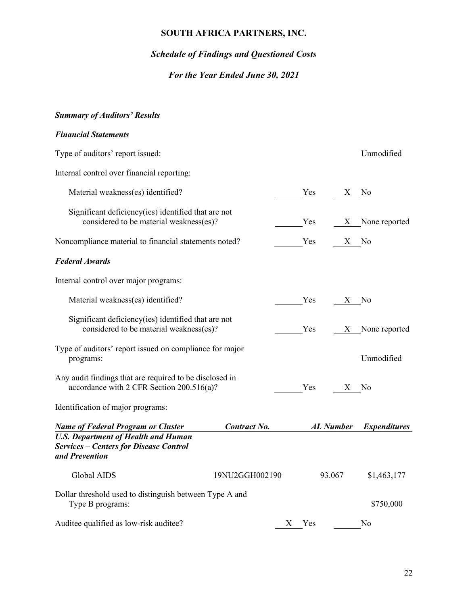## *Schedule of Findings and Questioned Costs*

## *For the Year Ended June 30, 2021*

## *Summary of Auditors' Results*

### *Financial Statements*

| Type of auditors' report issued:                                                                              |                     |          |                  | Unmodified          |
|---------------------------------------------------------------------------------------------------------------|---------------------|----------|------------------|---------------------|
| Internal control over financial reporting:                                                                    |                     |          |                  |                     |
| Material weakness(es) identified?                                                                             |                     | Yes      | X                | N <sub>0</sub>      |
| Significant deficiency(ies) identified that are not<br>considered to be material weakness(es)?                |                     | Yes      | X                | None reported       |
| Noncompliance material to financial statements noted?                                                         |                     | Yes      | X                | No                  |
| <b>Federal Awards</b>                                                                                         |                     |          |                  |                     |
| Internal control over major programs:                                                                         |                     |          |                  |                     |
| Material weakness(es) identified?                                                                             |                     | Yes      | X                | No                  |
| Significant deficiency(ies) identified that are not<br>considered to be material weakness(es)?                |                     | Yes      | X                | None reported       |
| Type of auditors' report issued on compliance for major<br>programs:                                          |                     |          |                  | Unmodified          |
| Any audit findings that are required to be disclosed in<br>accordance with 2 CFR Section 200.516(a)?          |                     | Yes      | X                | N <sub>0</sub>      |
| Identification of major programs:                                                                             |                     |          |                  |                     |
| <b>Name of Federal Program or Cluster</b>                                                                     | <b>Contract No.</b> |          | <b>AL</b> Number | <b>Expenditures</b> |
| <b>U.S. Department of Health and Human</b><br><b>Services - Centers for Disease Control</b><br>and Prevention |                     |          |                  |                     |
| Global AIDS                                                                                                   | 19NU2GGH002190      |          | 93.067           | \$1,463,177         |
| Dollar threshold used to distinguish between Type A and<br>Type B programs:                                   |                     |          |                  | \$750,000           |
| Auditee qualified as low-risk auditee?                                                                        |                     | Yes<br>X |                  | No                  |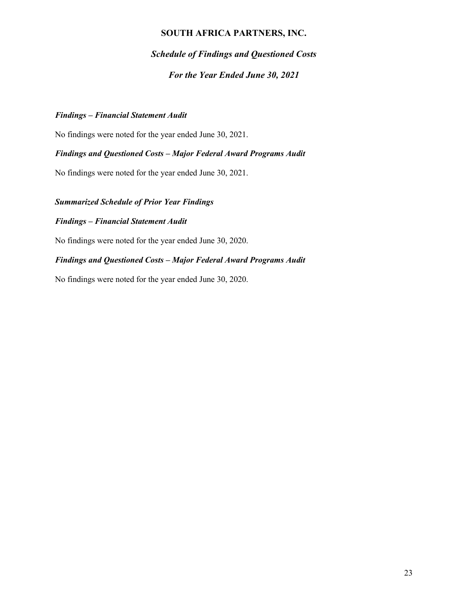## *Schedule of Findings and Questioned Costs*

### *For the Year Ended June 30, 2021*

### *Findings – Financial Statement Audit*

No findings were noted for the year ended June 30, 2021.

#### *Findings and Questioned Costs – Major Federal Award Programs Audit*

No findings were noted for the year ended June 30, 2021.

### *Summarized Schedule of Prior Year Findings*

#### *Findings – Financial Statement Audit*

No findings were noted for the year ended June 30, 2020.

## *Findings and Questioned Costs – Major Federal Award Programs Audit*

No findings were noted for the year ended June 30, 2020.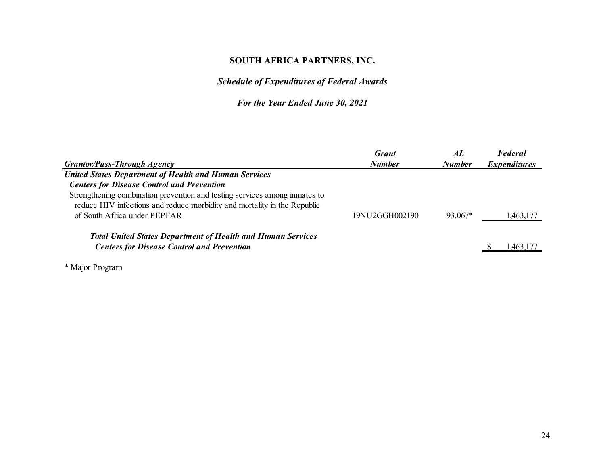## *Schedule of Expenditures of Federal Awards*

## *For the Year Ended June 30, 2021*

|                                                                            | Grant          | AL            | <b>Federal</b>      |
|----------------------------------------------------------------------------|----------------|---------------|---------------------|
| <b>Grantor/Pass-Through Agency</b>                                         | <b>Number</b>  | <b>Number</b> | <b>Expenditures</b> |
| <b>United States Department of Health and Human Services</b>               |                |               |                     |
| <b>Centers for Disease Control and Prevention</b>                          |                |               |                     |
| Strengthening combination prevention and testing services among inmates to |                |               |                     |
| reduce HIV infections and reduce morbidity and mortality in the Republic   |                |               |                     |
| of South Africa under PEPFAR                                               | 19NU2GGH002190 | 93.067*       | 1,463,177           |
| <b>Total United States Department of Health and Human Services</b>         |                |               |                     |
| <b>Centers for Disease Control and Prevention</b>                          |                |               | .463.1              |

\* Major Program